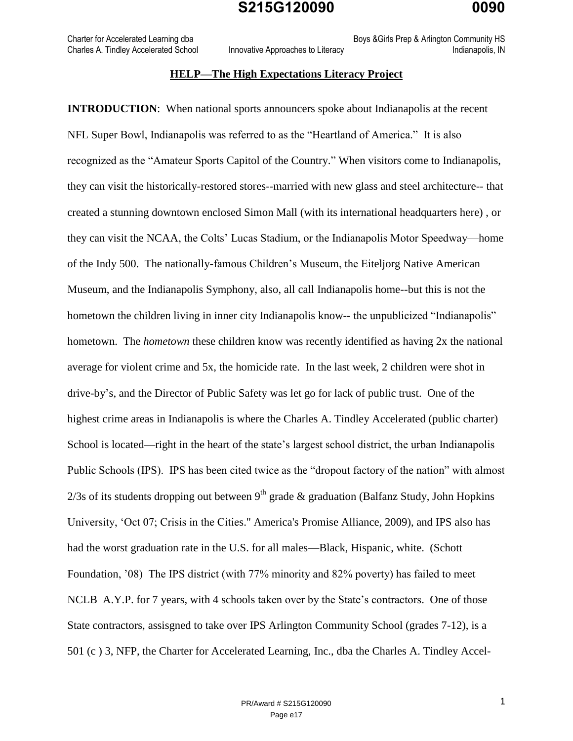Charter for Accelerated Learning dba **Boys &Girls Prep & Arlington Community HS** Boys &Girls Prep & Arlington Community HS

Charles A. Tindley Accelerated School Innovative Approaches to Literacy **Indianapolis**, IN

#### **HELP—The High Expectations Literacy Project**

**INTRODUCTION:** When national sports announcers spoke about Indianapolis at the recent NFL Super Bowl, Indianapolis was referred to as the "Heartland of America." It is also recognized as the "Amateur Sports Capitol of the Country." When visitors come to Indianapolis, they can visit the historically-restored stores--married with new glass and steel architecture-- that created a stunning downtown enclosed Simon Mall (with its international headquarters here) , or they can visit the NCAA, the Colts' Lucas Stadium, or the Indianapolis Motor Speedway—home of the Indy 500. The nationally-famous Children's Museum, the Eiteljorg Native American Museum, and the Indianapolis Symphony, also, all call Indianapolis home--but this is not the hometown the children living in inner city Indianapolis know-- the unpublicized "Indianapolis" hometown. The *hometown* these children know was recently identified as having 2x the national average for violent crime and 5x, the homicide rate. In the last week, 2 children were shot in drive-by's, and the Director of Public Safety was let go for lack of public trust. One of the highest crime areas in Indianapolis is where the Charles A. Tindley Accelerated (public charter) School is located—right in the heart of the state's largest school district, the urban Indianapolis Public Schools (IPS). IPS has been cited twice as the "dropout factory of the nation" with almost  $2/3s$  of its students dropping out between 9<sup>th</sup> grade & graduation (Balfanz Study, John Hopkins University, 'Oct 07; Crisis in the Cities." America's Promise Alliance, 2009), and IPS also has had the worst graduation rate in the U.S. for all males—Black, Hispanic, white. (Schott Foundation, '08) The IPS district (with 77% minority and 82% poverty) has failed to meet NCLB A.Y.P. for 7 years, with 4 schools taken over by the State's contractors. One of those State contractors, assisgned to take over IPS Arlington Community School (grades 7-12), is a 501 (c ) 3, NFP, the Charter for Accelerated Learning, Inc., dba the Charles A. Tindley Accel-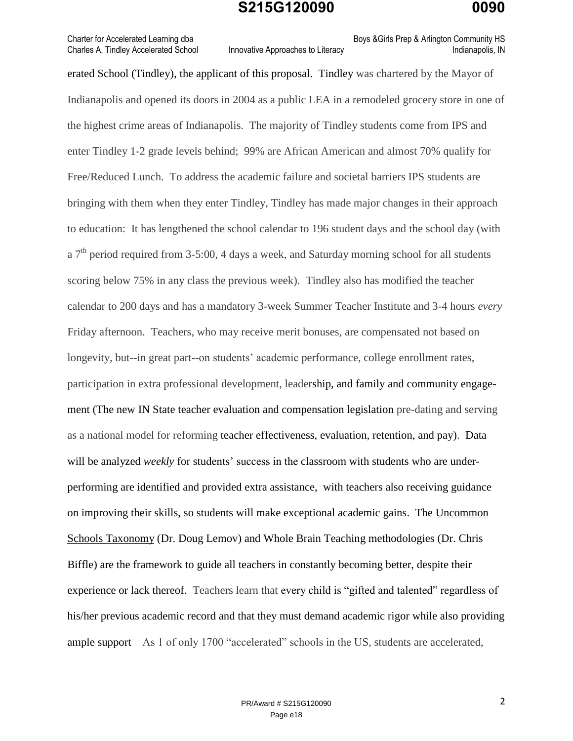Charter for Accelerated Learning dba **Boys &Girls Prep & Arlington Community HS** Boys &Girls Prep & Arlington Community HS

## Charles A. Tindley Accelerated School Innovative Approaches to Literacy **Indianapolis**, IN

erated School (Tindley), the applicant of this proposal. Tindley was chartered by the Mayor of Indianapolis and opened its doors in 2004 as a public LEA in a remodeled grocery store in one of the highest crime areas of Indianapolis. The majority of Tindley students come from IPS and enter Tindley 1-2 grade levels behind; 99% are African American and almost 70% qualify for Free/Reduced Lunch. To address the academic failure and societal barriers IPS students are bringing with them when they enter Tindley, Tindley has made major changes in their approach to education: It has lengthened the school calendar to 196 student days and the school day (with a  $7<sup>th</sup>$  period required from 3-5:00, 4 days a week, and Saturday morning school for all students scoring below 75% in any class the previous week). Tindley also has modified the teacher calendar to 200 days and has a mandatory 3-week Summer Teacher Institute and 3-4 hours *every* Friday afternoon. Teachers, who may receive merit bonuses, are compensated not based on longevity, but--in great part--on students' academic performance, college enrollment rates, participation in extra professional development, leadership, and family and community engagement (The new IN State teacher evaluation and compensation legislation pre-dating and serving as a national model for reforming teacher effectiveness, evaluation, retention, and pay). Data will be analyzed *weekly* for students' success in the classroom with students who are underperforming are identified and provided extra assistance, with teachers also receiving guidance on improving their skills, so students will make exceptional academic gains. The Uncommon Schools Taxonomy (Dr. Doug Lemov) and Whole Brain Teaching methodologies (Dr. Chris Biffle) are the framework to guide all teachers in constantly becoming better, despite their experience or lack thereof. Teachers learn that every child is "gifted and talented" regardless of his/her previous academic record and that they must demand academic rigor while also providing ample support As 1 of only 1700 "accelerated" schools in the US, students are accelerated,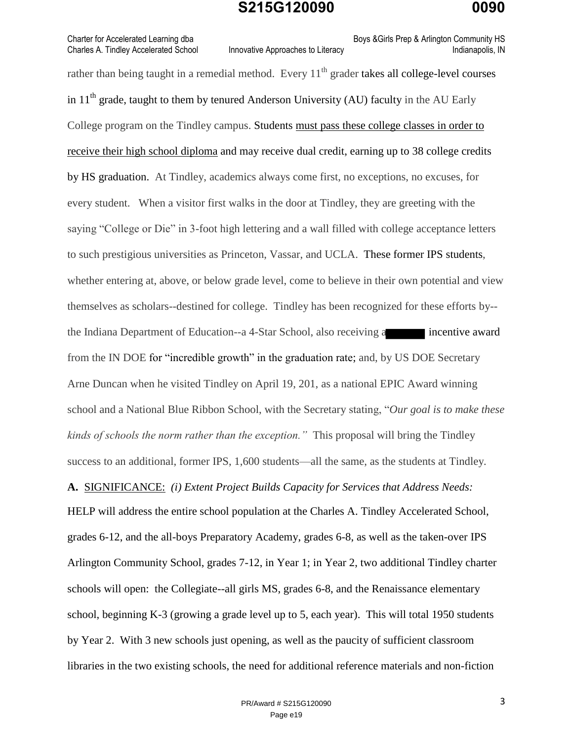Charter for Accelerated Learning dba **Boys &Girls Prep & Arlington Community HS** Boys &Girls Prep & Arlington Community HS

Charles A. Tindley Accelerated School Innovative Approaches to Literacy **Indianapolis**, IN

rather than being taught in a remedial method. Every  $11<sup>th</sup>$  grader takes all college-level courses in  $11<sup>th</sup>$  grade, taught to them by tenured Anderson University (AU) faculty in the AU Early College program on the Tindley campus. Students must pass these college classes in order to receive their high school diploma and may receive dual credit, earning up to 38 college credits by HS graduation. At Tindley, academics always come first, no exceptions, no excuses, for every student. When a visitor first walks in the door at Tindley, they are greeting with the saying "College or Die" in 3-foot high lettering and a wall filled with college acceptance letters to such prestigious universities as Princeton, Vassar, and UCLA. These former IPS students, whether entering at, above, or below grade level, come to believe in their own potential and view themselves as scholars--destined for college. Tindley has been recognized for these efforts by- the Indiana Department of Education--a 4-Star School, also receiving a incentive award from the IN DOE for "incredible growth" in the graduation rate; and, by US DOE Secretary Arne Duncan when he visited Tindley on April 19, 201, as a national EPIC Award winning school and a National Blue Ribbon School, with the Secretary stating, "*Our goal is to make these kinds of schools the norm rather than the exception."* This proposal will bring the Tindley success to an additional, former IPS, 1,600 students—all the same, as the students at Tindley*.*  **A.** SIGNIFICANCE: *(i) Extent Project Builds Capacity for Services that Address Needs:* HELP will address the entire school population at the Charles A. Tindley Accelerated School, grades 6-12, and the all-boys Preparatory Academy, grades 6-8, as well as the taken-over IPS Arlington Community School, grades 7-12, in Year 1; in Year 2, two additional Tindley charter schools will open: the Collegiate--all girls MS, grades 6-8, and the Renaissance elementary school, beginning K-3 (growing a grade level up to 5, each year). This will total 1950 students by Year 2. With 3 new schools just opening, as well as the paucity of sufficient classroom libraries in the two existing schools, the need for additional reference materials and non-fiction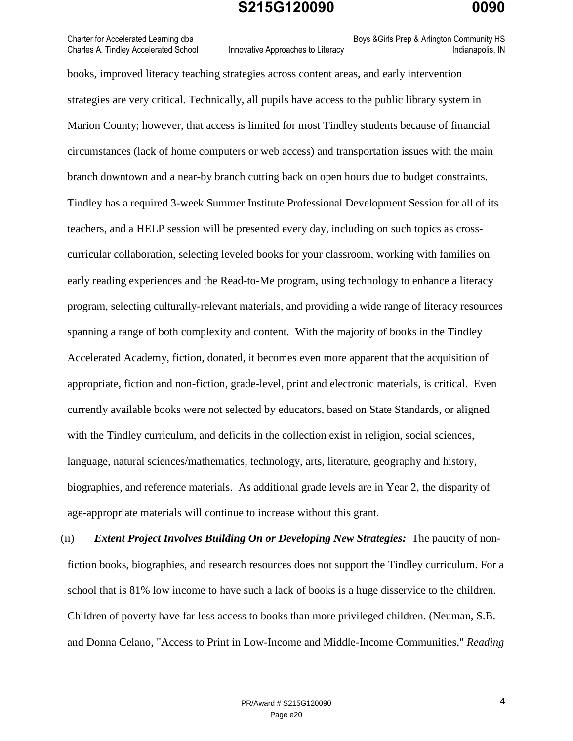Charter for Accelerated Learning dba **Boys &Girls Prep & Arlington Community HS** Boys &Girls Prep & Arlington Community HS

Charles A. Tindley Accelerated School Innovative Approaches to Literacy **Indianapolis**, IN

books, improved literacy teaching strategies across content areas, and early intervention strategies are very critical. Technically, all pupils have access to the public library system in Marion County; however, that access is limited for most Tindley students because of financial circumstances (lack of home computers or web access) and transportation issues with the main branch downtown and a near-by branch cutting back on open hours due to budget constraints. Tindley has a required 3-week Summer Institute Professional Development Session for all of its teachers, and a HELP session will be presented every day, including on such topics as crosscurricular collaboration, selecting leveled books for your classroom, working with families on early reading experiences and the Read-to-Me program, using technology to enhance a literacy program, selecting culturally-relevant materials, and providing a wide range of literacy resources spanning a range of both complexity and content. With the majority of books in the Tindley Accelerated Academy, fiction, donated, it becomes even more apparent that the acquisition of appropriate, fiction and non-fiction, grade-level, print and electronic materials, is critical. Even currently available books were not selected by educators, based on State Standards, or aligned with the Tindley curriculum, and deficits in the collection exist in religion, social sciences, language, natural sciences/mathematics, technology, arts, literature, geography and history, biographies, and reference materials. As additional grade levels are in Year 2, the disparity of age-appropriate materials will continue to increase without this grant.

(ii) *Extent Project Involves Building On or Developing New Strategies:* The paucity of nonfiction books, biographies, and research resources does not support the Tindley curriculum. For a school that is 81% low income to have such a lack of books is a huge disservice to the children. Children of poverty have far less access to books than more privileged children. (Neuman, S.B. and Donna Celano, "Access to Print in Low-Income and Middle-Income Communities," *Reading*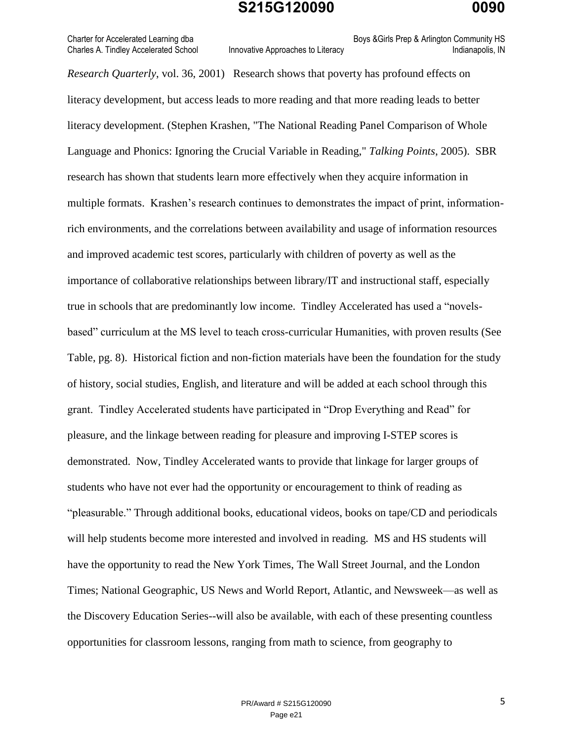Charter for Accelerated Learning dba **Boys &Girls Prep & Arlington Community HS** Boys &Girls Prep & Arlington Community HS Charles A. Tindley Accelerated School Innovative Approaches to Literacy Innovative Approaches to Literacy Indianapolis, IN

*Research Quarterly*, vol. 36, 2001) Research shows that poverty has profound effects on literacy development, but access leads to more reading and that more reading leads to better literacy development. (Stephen Krashen, "The National Reading Panel Comparison of Whole Language and Phonics: Ignoring the Crucial Variable in Reading," *Talking Points*, 2005). SBR research has shown that students learn more effectively when they acquire information in multiple formats. Krashen's research continues to demonstrates the impact of print, informationrich environments, and the correlations between availability and usage of information resources and improved academic test scores, particularly with children of poverty as well as the importance of collaborative relationships between library/IT and instructional staff, especially true in schools that are predominantly low income. Tindley Accelerated has used a "novelsbased" curriculum at the MS level to teach cross-curricular Humanities, with proven results (See Table, pg. 8). Historical fiction and non-fiction materials have been the foundation for the study of history, social studies, English, and literature and will be added at each school through this grant. Tindley Accelerated students have participated in "Drop Everything and Read" for pleasure, and the linkage between reading for pleasure and improving I-STEP scores is demonstrated. Now, Tindley Accelerated wants to provide that linkage for larger groups of students who have not ever had the opportunity or encouragement to think of reading as "pleasurable." Through additional books, educational videos, books on tape/CD and periodicals will help students become more interested and involved in reading. MS and HS students will have the opportunity to read the New York Times, The Wall Street Journal, and the London Times; National Geographic, US News and World Report, Atlantic, and Newsweek—as well as the Discovery Education Series--will also be available, with each of these presenting countless opportunities for classroom lessons, ranging from math to science, from geography to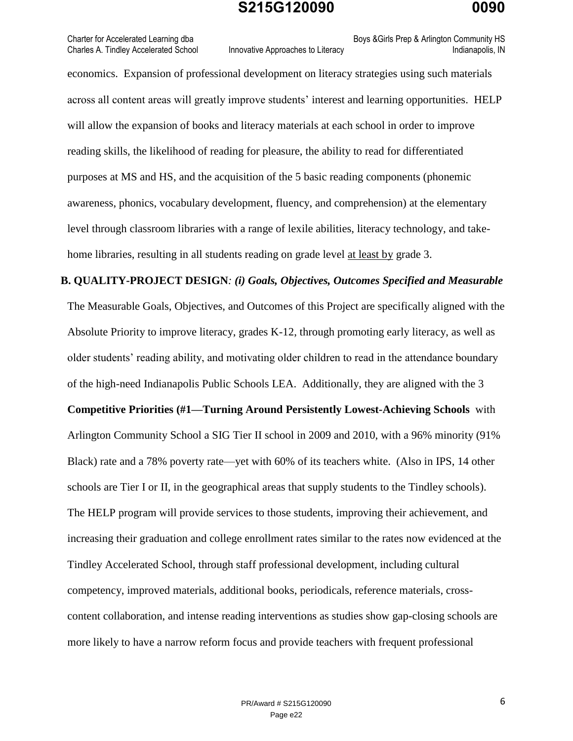Charter for Accelerated Learning dba **Boys &Girls Prep & Arlington Community HS** Boys &Girls Prep & Arlington Community HS Charles A. Tindley Accelerated School Innovative Approaches to Literacy **Indianapolis**, IN

economics. Expansion of professional development on literacy strategies using such materials across all content areas will greatly improve students' interest and learning opportunities. HELP will allow the expansion of books and literacy materials at each school in order to improve reading skills, the likelihood of reading for pleasure, the ability to read for differentiated purposes at MS and HS, and the acquisition of the 5 basic reading components (phonemic awareness, phonics, vocabulary development, fluency, and comprehension) at the elementary level through classroom libraries with a range of lexile abilities, literacy technology, and takehome libraries, resulting in all students reading on grade level at least by grade 3.

#### **B. QUALITY-PROJECT DESIGN***: (i) Goals, Objectives, Outcomes Specified and Measurable*

The Measurable Goals, Objectives, and Outcomes of this Project are specifically aligned with the Absolute Priority to improve literacy, grades K-12, through promoting early literacy, as well as older students' reading ability, and motivating older children to read in the attendance boundary of the high-need Indianapolis Public Schools LEA. Additionally, they are aligned with the 3 **Competitive Priorities (#1—Turning Around Persistently Lowest-Achieving Schools** with Arlington Community School a SIG Tier II school in 2009 and 2010, with a 96% minority (91% Black) rate and a 78% poverty rate—yet with 60% of its teachers white. (Also in IPS, 14 other schools are Tier I or II, in the geographical areas that supply students to the Tindley schools). The HELP program will provide services to those students, improving their achievement, and increasing their graduation and college enrollment rates similar to the rates now evidenced at the Tindley Accelerated School, through staff professional development, including cultural competency, improved materials, additional books, periodicals, reference materials, crosscontent collaboration, and intense reading interventions as studies show gap-closing schools are more likely to have a narrow reform focus and provide teachers with frequent professional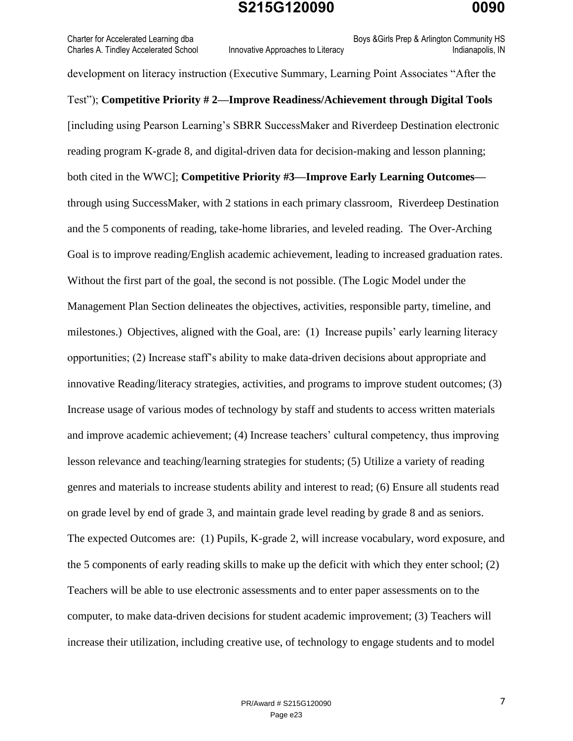Charter for Accelerated Learning dba **Boys &Girls Prep & Arlington Community HS** Boys &Girls Prep & Arlington Community HS Charles A. Tindley Accelerated School Innovative Approaches to Literacy **Indianapolis**, IN

development on literacy instruction (Executive Summary, Learning Point Associates "After the Test"); **Competitive Priority # 2—Improve Readiness/Achievement through Digital Tools** [including using Pearson Learning's SBRR SuccessMaker and Riverdeep Destination electronic reading program K-grade 8, and digital-driven data for decision-making and lesson planning; both cited in the WWC]; **Competitive Priority #3—Improve Early Learning Outcomes** through using SuccessMaker, with 2 stations in each primary classroom, Riverdeep Destination and the 5 components of reading, take-home libraries, and leveled reading. The Over-Arching Goal is to improve reading/English academic achievement, leading to increased graduation rates. Without the first part of the goal, the second is not possible. (The Logic Model under the Management Plan Section delineates the objectives, activities, responsible party, timeline, and milestones.) Objectives, aligned with the Goal, are: (1) Increase pupils' early learning literacy opportunities; (2) Increase staff's ability to make data-driven decisions about appropriate and innovative Reading/literacy strategies, activities, and programs to improve student outcomes; (3) Increase usage of various modes of technology by staff and students to access written materials and improve academic achievement; (4) Increase teachers' cultural competency, thus improving lesson relevance and teaching/learning strategies for students; (5) Utilize a variety of reading genres and materials to increase students ability and interest to read; (6) Ensure all students read on grade level by end of grade 3, and maintain grade level reading by grade 8 and as seniors. The expected Outcomes are: (1) Pupils, K-grade 2, will increase vocabulary, word exposure, and the 5 components of early reading skills to make up the deficit with which they enter school; (2) Teachers will be able to use electronic assessments and to enter paper assessments on to the computer, to make data-driven decisions for student academic improvement; (3) Teachers will increase their utilization, including creative use, of technology to engage students and to model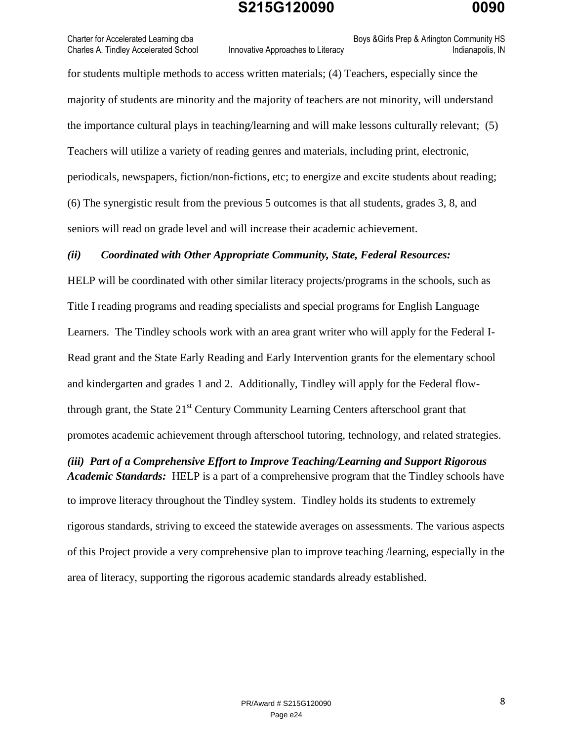Charter for Accelerated Learning dba **Boys &Girls Prep & Arlington Community HS** Boys &Girls Prep & Arlington Community HS Charles A. Tindley Accelerated School Innovative Approaches to Literacy **Indianapolis**, IN

for students multiple methods to access written materials; (4) Teachers, especially since the majority of students are minority and the majority of teachers are not minority, will understand the importance cultural plays in teaching/learning and will make lessons culturally relevant; (5) Teachers will utilize a variety of reading genres and materials, including print, electronic, periodicals, newspapers, fiction/non-fictions, etc; to energize and excite students about reading; (6) The synergistic result from the previous 5 outcomes is that all students, grades 3, 8, and seniors will read on grade level and will increase their academic achievement.

#### *(ii) Coordinated with Other Appropriate Community, State, Federal Resources:*

HELP will be coordinated with other similar literacy projects/programs in the schools, such as Title I reading programs and reading specialists and special programs for English Language Learners. The Tindley schools work with an area grant writer who will apply for the Federal I-Read grant and the State Early Reading and Early Intervention grants for the elementary school and kindergarten and grades 1 and 2. Additionally, Tindley will apply for the Federal flowthrough grant, the State  $21<sup>st</sup>$  Century Community Learning Centers afterschool grant that promotes academic achievement through afterschool tutoring, technology, and related strategies.

*(iii) Part of a Comprehensive Effort to Improve Teaching/Learning and Support Rigorous Academic Standards:* HELP is a part of a comprehensive program that the Tindley schools have to improve literacy throughout the Tindley system. Tindley holds its students to extremely rigorous standards, striving to exceed the statewide averages on assessments. The various aspects of this Project provide a very comprehensive plan to improve teaching /learning, especially in the area of literacy, supporting the rigorous academic standards already established.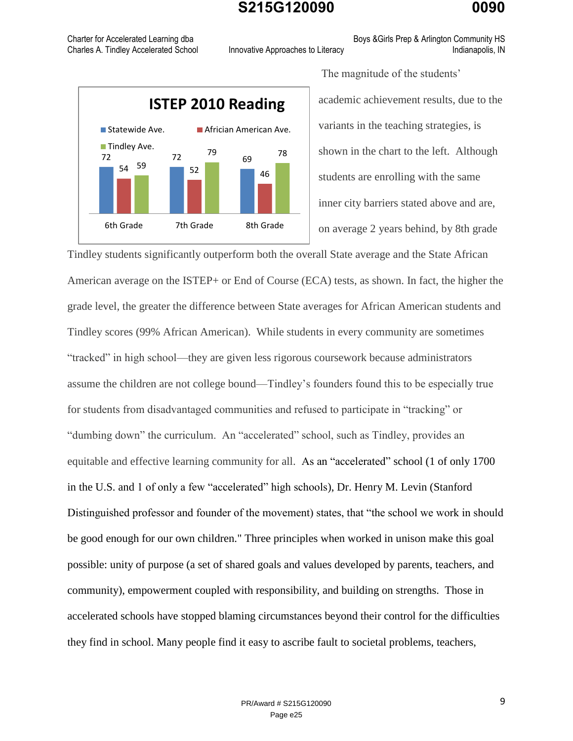Charter for Accelerated Learning dba **Boys &Girls Prep & Arlington Community HS** Boys &Girls Prep & Arlington Community HS

 $72 \t 72 \t 69$  $\frac{54}{10}$   $\frac{59}{10}$  52 46 59 79 69 78 6th Grade 7th Grade 8th Grade **ISTEP 2010 Reading** Statewide Ave. **Africian American Ave. Tindley Ave.** 

Charles A. Tindley Accelerated School Innovative Approaches to Literacy **Indianapolis**, IN

The magnitude of the students' academic achievement results, due to the variants in the teaching strategies, is shown in the chart to the left. Although students are enrolling with the same inner city barriers stated above and are, on average 2 years behind, by 8th grade

Tindley students significantly outperform both the overall State average and the State African American average on the ISTEP+ or End of Course (ECA) tests, as shown. In fact, the higher the grade level, the greater the difference between State averages for African American students and Tindley scores (99% African American). While students in every community are sometimes "tracked" in high school—they are given less rigorous coursework because administrators assume the children are not college bound—Tindley's founders found this to be especially true for students from disadvantaged communities and refused to participate in "tracking" or "dumbing down" the curriculum. An "accelerated" school, such as Tindley, provides an equitable and effective learning community for all. As an "accelerated" school (1 of only 1700 in the U.S. and 1 of only a few "accelerated" high schools), Dr. Henry M. Levin (Stanford Distinguished professor and founder of the movement) states, that "the school we work in should be good enough for our own children." Three principles when worked in unison make this goal possible: unity of purpose (a set of shared goals and values developed by parents, teachers, and community), empowerment coupled with responsibility, and building on strengths. Those in accelerated schools have stopped blaming circumstances beyond their control for the difficulties they find in school. Many people find it easy to ascribe fault to societal problems, teachers,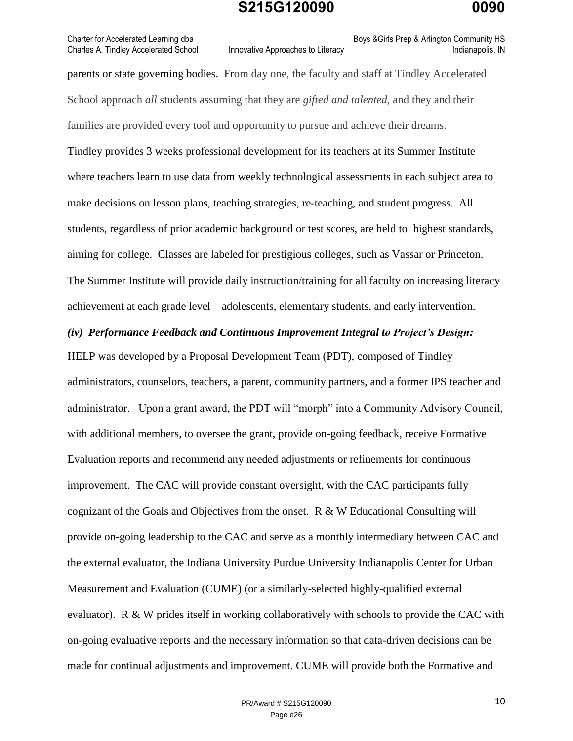Charter for Accelerated Learning dba **Boys &Girls Prep & Arlington Community HS** Boys &Girls Prep & Arlington Community HS

Charles A. Tindley Accelerated School Innovative Approaches to Literacy **Indianapolis**, IN

parents or state governing bodies. From day one, the faculty and staff at Tindley Accelerated School approach *all* students assuming that they are *gifted and talented,* and they and their families are provided every tool and opportunity to pursue and achieve their dreams. Tindley provides 3 weeks professional development for its teachers at its Summer Institute where teachers learn to use data from weekly technological assessments in each subject area to make decisions on lesson plans, teaching strategies, re-teaching, and student progress. All students, regardless of prior academic background or test scores, are held to highest standards, aiming for college. Classes are labeled for prestigious colleges, such as Vassar or Princeton. The Summer Institute will provide daily instruction/training for all faculty on increasing literacy achievement at each grade level—adolescents, elementary students, and early intervention.

#### *(iv) Performance Feedback and Continuous Improvement Integral to Project's Design:*

HELP was developed by a Proposal Development Team (PDT), composed of Tindley administrators, counselors, teachers, a parent, community partners, and a former IPS teacher and administrator. Upon a grant award, the PDT will "morph" into a Community Advisory Council, with additional members, to oversee the grant, provide on-going feedback, receive Formative Evaluation reports and recommend any needed adjustments or refinements for continuous improvement. The CAC will provide constant oversight, with the CAC participants fully cognizant of the Goals and Objectives from the onset. R & W Educational Consulting will provide on-going leadership to the CAC and serve as a monthly intermediary between CAC and the external evaluator, the Indiana University Purdue University Indianapolis Center for Urban Measurement and Evaluation (CUME) (or a similarly-selected highly-qualified external evaluator). R & W prides itself in working collaboratively with schools to provide the CAC with on-going evaluative reports and the necessary information so that data-driven decisions can be made for continual adjustments and improvement. CUME will provide both the Formative and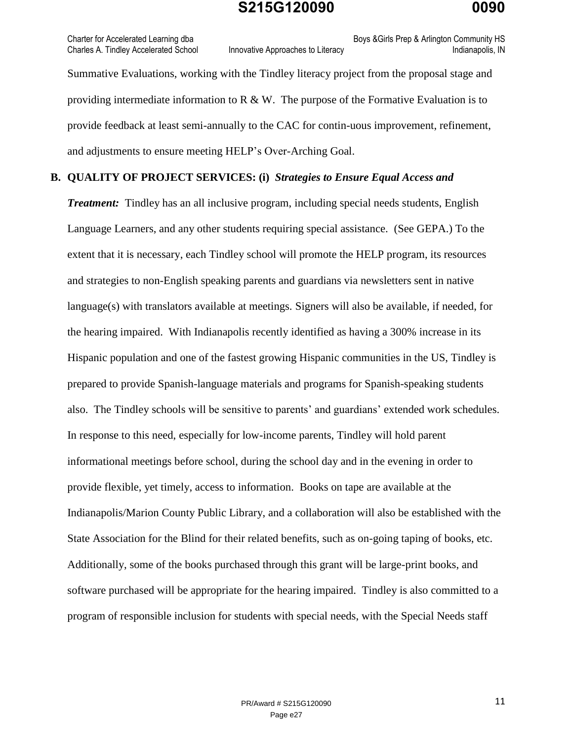Charter for Accelerated Learning dba **Boys &Girls Prep & Arlington Community HS** Boys &Girls Prep & Arlington Community HS Charles A. Tindley Accelerated School Innovative Approaches to Literacy Innovative Approaches to Literacy Indianapolis, IN

Summative Evaluations, working with the Tindley literacy project from the proposal stage and providing intermediate information to R  $\&$  W. The purpose of the Formative Evaluation is to provide feedback at least semi-annually to the CAC for contin-uous improvement, refinement, and adjustments to ensure meeting HELP's Over-Arching Goal.

#### **B. QUALITY OF PROJECT SERVICES: (i)** *Strategies to Ensure Equal Access and*

*Treatment:* Tindley has an all inclusive program, including special needs students, English Language Learners, and any other students requiring special assistance.(See GEPA.) To the extent that it is necessary, each Tindley school will promote the HELP program, its resources and strategies to non-English speaking parents and guardians via newsletters sent in native language(s) with translators available at meetings. Signers will also be available, if needed, for the hearing impaired. With Indianapolis recently identified as having a 300% increase in its Hispanic population and one of the fastest growing Hispanic communities in the US, Tindley is prepared to provide Spanish-language materials and programs for Spanish-speaking students also. The Tindley schools will be sensitive to parents' and guardians' extended work schedules. In response to this need, especially for low-income parents, Tindley will hold parent informational meetings before school, during the school day and in the evening in order to provide flexible, yet timely, access to information. Books on tape are available at the Indianapolis/Marion County Public Library, and a collaboration will also be established with the State Association for the Blind for their related benefits, such as on-going taping of books, etc. Additionally, some of the books purchased through this grant will be large-print books, and software purchased will be appropriate for the hearing impaired. Tindley is also committed to a program of responsible inclusion for students with special needs, with the Special Needs staff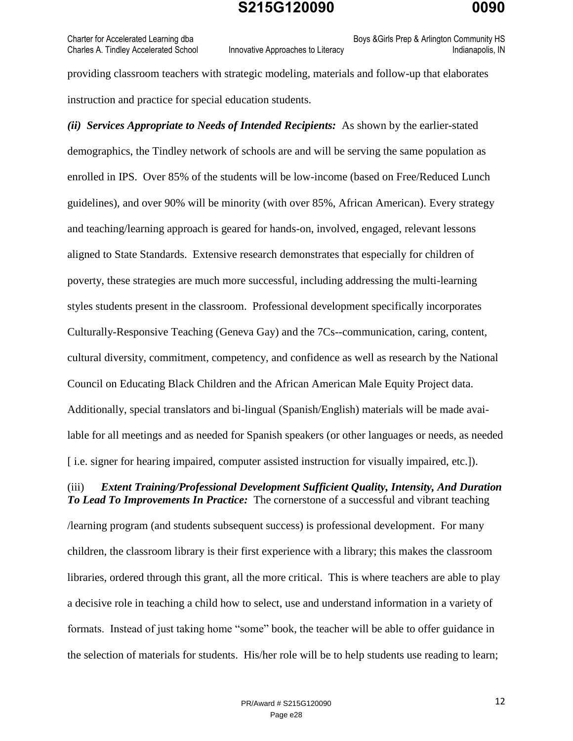Charter for Accelerated Learning dba **Boys &Girls Prep & Arlington Community HS** Boys &Girls Prep & Arlington Community HS Charles A. Tindley Accelerated School Innovative Approaches to Literacy **Interact Accelerated School** Indianapolis, IN

providing classroom teachers with strategic modeling, materials and follow-up that elaborates instruction and practice for special education students.

*(ii) Services Appropriate to Needs of Intended Recipients:* As shown by the earlier-stated demographics, the Tindley network of schools are and will be serving the same population as enrolled in IPS. Over 85% of the students will be low-income (based on Free/Reduced Lunch guidelines), and over 90% will be minority (with over 85%, African American). Every strategy and teaching/learning approach is geared for hands-on, involved, engaged, relevant lessons aligned to State Standards. Extensive research demonstrates that especially for children of poverty, these strategies are much more successful, including addressing the multi-learning styles students present in the classroom. Professional development specifically incorporates Culturally-Responsive Teaching (Geneva Gay) and the 7Cs--communication, caring, content, cultural diversity, commitment, competency, and confidence as well as research by the National Council on Educating Black Children and the African American Male Equity Project data. Additionally, special translators and bi-lingual (Spanish/English) materials will be made available for all meetings and as needed for Spanish speakers (or other languages or needs, as needed [ i.e. signer for hearing impaired, computer assisted instruction for visually impaired, etc.]).

#### (iii) *Extent Training/Professional Development Sufficient Quality, Intensity, And Duration To Lead To Improvements In Practice:* The cornerstone of a successful and vibrant teaching

/learning program (and students subsequent success) is professional development. For many children, the classroom library is their first experience with a library; this makes the classroom libraries, ordered through this grant, all the more critical. This is where teachers are able to play a decisive role in teaching a child how to select, use and understand information in a variety of formats. Instead of just taking home "some" book, the teacher will be able to offer guidance in the selection of materials for students. His/her role will be to help students use reading to learn;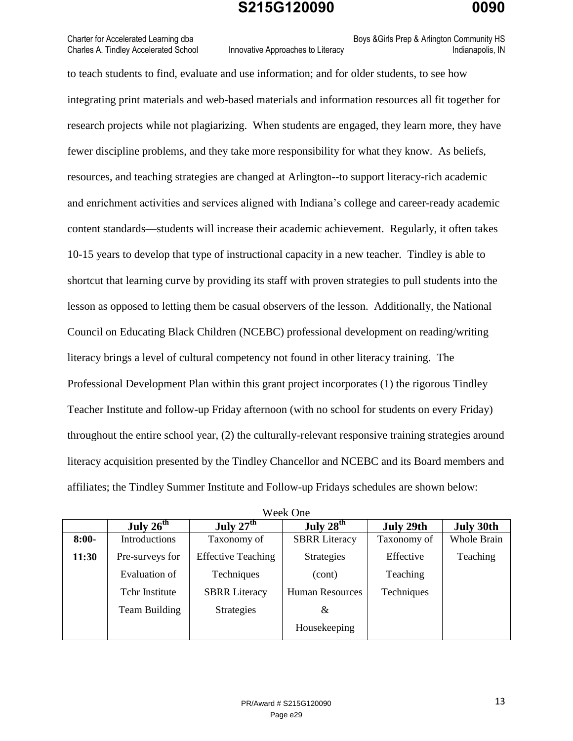Charter for Accelerated Learning dba **Boys &Girls Prep & Arlington Community HS** Boys &Girls Prep & Arlington Community HS

Charles A. Tindley Accelerated School Innovative Approaches to Literacy **Indianapolis**, IN

to teach students to find, evaluate and use information; and for older students, to see how integrating print materials and web-based materials and information resources all fit together for research projects while not plagiarizing. When students are engaged, they learn more, they have fewer discipline problems, and they take more responsibility for what they know. As beliefs, resources, and teaching strategies are changed at Arlington--to support literacy-rich academic and enrichment activities and services aligned with Indiana's college and career-ready academic content standards—students will increase their academic achievement. Regularly, it often takes 10-15 years to develop that type of instructional capacity in a new teacher. Tindley is able to shortcut that learning curve by providing its staff with proven strategies to pull students into the lesson as opposed to letting them be casual observers of the lesson. Additionally, the National Council on Educating Black Children (NCEBC) professional development on reading/writing literacy brings a level of cultural competency not found in other literacy training. The Professional Development Plan within this grant project incorporates (1) the rigorous Tindley Teacher Institute and follow-up Friday afternoon (with no school for students on every Friday) throughout the entire school year, (2) the culturally-relevant responsive training strategies around literacy acquisition presented by the Tindley Chancellor and NCEBC and its Board members and affiliates; the Tindley Summer Institute and Follow-up Fridays schedules are shown below:

|         | <u>WULA UIIU</u>      |                           |                        |             |                  |  |  |  |
|---------|-----------------------|---------------------------|------------------------|-------------|------------------|--|--|--|
|         | July $26^{\text{th}}$ | July $27th$               | July $28th$            | July 29th   | <b>July 30th</b> |  |  |  |
| $8:00-$ | Introductions         | Taxonomy of               | <b>SBRR</b> Literacy   | Taxonomy of | Whole Brain      |  |  |  |
| 11:30   | Pre-surveys for       | <b>Effective Teaching</b> | Strategies             | Effective   | Teaching         |  |  |  |
|         | Evaluation of         | Techniques                | (cont)                 | Teaching    |                  |  |  |  |
|         | Tchr Institute        | <b>SBRR</b> Literacy      | <b>Human Resources</b> | Techniques  |                  |  |  |  |
|         | Team Building         | <b>Strategies</b>         | &                      |             |                  |  |  |  |
|         |                       |                           | Housekeeping           |             |                  |  |  |  |

| Week One |  |
|----------|--|
|----------|--|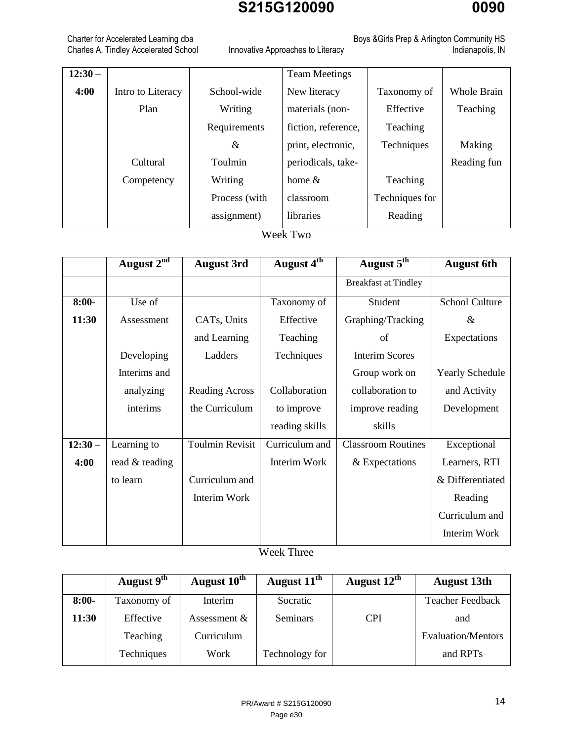# Charles A. Tindley Accelerated School Innovative Approaches to Literacy **Interact Accelerates Indianapolis**, IN

Charter for Accelerated Learning dba Boys &Girls Prep & Arlington Community HS

| $12:30-$ |                   |               | <b>Team Meetings</b> |                |                    |
|----------|-------------------|---------------|----------------------|----------------|--------------------|
| 4:00     | Intro to Literacy | School-wide   | New literacy         | Taxonomy of    | <b>Whole Brain</b> |
|          | Plan              | Writing       | materials (non-      | Effective      | Teaching           |
|          |                   | Requirements  | fiction, reference,  | Teaching       |                    |
|          |                   | &             | print, electronic,   | Techniques     | Making             |
|          | Cultural          | Toulmin       | periodicals, take-   |                | Reading fun        |
|          | Competency        | Writing       | home $\&$            | Teaching       |                    |
|          |                   | Process (with | classroom            | Techniques for |                    |
|          |                   | assignment)   | libraries            | Reading        |                    |
|          |                   |               |                      |                |                    |

Week Two

|          | August 2 <sup>nd</sup> | <b>August 3rd</b>      | August 4 <sup>th</sup> | August 5 <sup>th</sup>      | <b>August 6th</b>      |
|----------|------------------------|------------------------|------------------------|-----------------------------|------------------------|
|          |                        |                        |                        | <b>Breakfast at Tindley</b> |                        |
| $8:00-$  | Use of                 |                        | Taxonomy of            | Student                     | <b>School Culture</b>  |
| 11:30    | Assessment             | CATs, Units            | Effective              | Graphing/Tracking           | $\&$                   |
|          |                        | and Learning           | Teaching               | of                          | Expectations           |
|          | Developing             | Ladders                | Techniques             | <b>Interim Scores</b>       |                        |
|          | Interims and           |                        |                        | Group work on               | <b>Yearly Schedule</b> |
|          | analyzing              | <b>Reading Across</b>  | Collaboration          | collaboration to            | and Activity           |
|          | interims               | the Curriculum         | to improve             | improve reading             | Development            |
|          |                        |                        | reading skills         | skills                      |                        |
| $12:30-$ | Learning to            | <b>Toulmin Revisit</b> | Curriculum and         | <b>Classroom Routines</b>   | Exceptional            |
| 4:00     | read & reading         |                        | Interim Work           | & Expectations              | Learners, RTI          |
|          | to learn               | Curriculum and         |                        |                             | & Differentiated       |
|          |                        | Interim Work           |                        |                             | Reading                |
|          |                        |                        |                        |                             | Curriculum and         |
|          |                        |                        |                        |                             | Interim Work           |

Week Three

|         | August $9th$ | August 10 <sup>th</sup> | August 11 <sup>th</sup> | August $12^{\text{th}}$ | <b>August 13th</b>      |
|---------|--------------|-------------------------|-------------------------|-------------------------|-------------------------|
| $8:00-$ | Taxonomy of  | Interim                 | Socratic                |                         | <b>Teacher Feedback</b> |
| 11:30   | Effective    | Assessment $\&$         | Seminars                | <b>CPI</b>              | and                     |
|         | Teaching     | Curriculum              |                         |                         | Evaluation/Mentors      |
|         | Techniques   | Work                    | Technology for          |                         | and RPT <sub>s</sub>    |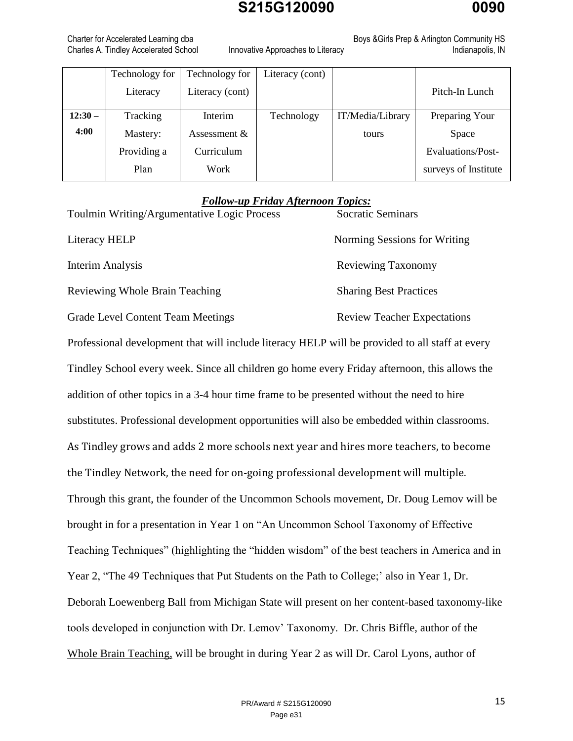Charter for Accelerated Learning dba **Boys &Girls Prep & Arlington Community HS** Boys &Girls Prep & Arlington Community HS Charles A. Tindley Accelerated School Innovative Approaches to Literacy **Indianapolis**, IN

|          | Technology for | Technology for  | Literacy (cont) |                  |                      |
|----------|----------------|-----------------|-----------------|------------------|----------------------|
|          | Literacy       | Literacy (cont) |                 |                  | Pitch-In Lunch       |
| $12:30-$ | Tracking       | Interim         | Technology      | IT/Media/Library | Preparing Your       |
| 4:00     | Mastery:       | Assessment $&$  |                 | tours            | Space                |
|          | Providing a    | Curriculum      |                 |                  | Evaluations/Post-    |
|          | Plan           | Work            |                 |                  | surveys of Institute |

#### *Follow-up Friday Afternoon Topics:*

| Toulmin Writing/Argumentative Logic Process | <b>Socratic Seminars</b>      |
|---------------------------------------------|-------------------------------|
| Literacy HELP                               | Norming Sessions for Writing  |
| Interim Analysis                            | Reviewing Taxonomy            |
| Reviewing Whole Brain Teaching              | <b>Sharing Best Practices</b> |
|                                             |                               |

Grade Level Content Team Meetings Review Teacher Expectations

Professional development that will include literacy HELP will be provided to all staff at every Tindley School every week. Since all children go home every Friday afternoon, this allows the addition of other topics in a 3-4 hour time frame to be presented without the need to hire substitutes. Professional development opportunities will also be embedded within classrooms. As Tindley grows and adds 2 more schools next year and hires more teachers, to become the Tindley Network, the need for on-going professional development will multiple. Through this grant, the founder of the Uncommon Schools movement, Dr. Doug Lemov will be brought in for a presentation in Year 1 on "An Uncommon School Taxonomy of Effective Teaching Techniques" (highlighting the "hidden wisdom" of the best teachers in America and in Year 2, "The 49 Techniques that Put Students on the Path to College;' also in Year 1, Dr. Deborah Loewenberg Ball from Michigan State will present on her content-based taxonomy-like tools developed in conjunction with Dr. Lemov' Taxonomy. Dr. Chris Biffle, author of the Whole Brain Teaching, will be brought in during Year 2 as will Dr. Carol Lyons, author of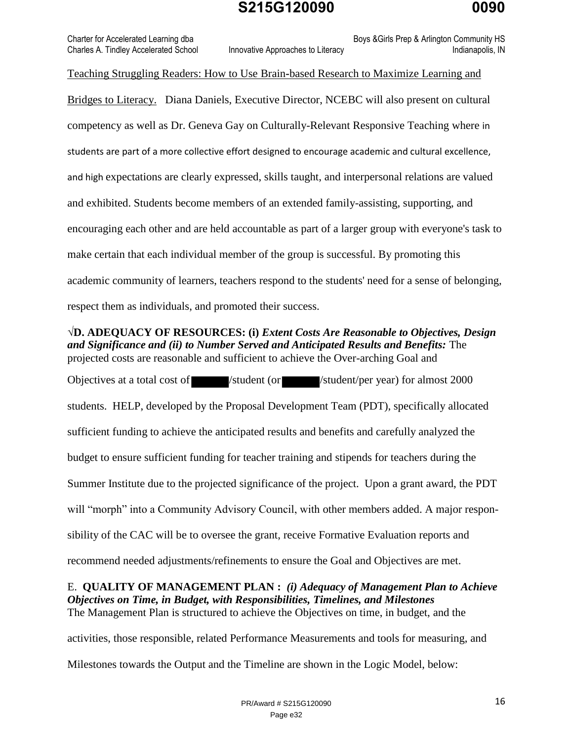Charter for Accelerated Learning dba **Boys &Girls Prep & Arlington Community HS** Boys &Girls Prep & Arlington Community HS Charles A. Tindley Accelerated School Innovative Approaches to Literacy **Interact Accelerated School** Indianapolis, IN

Teaching Struggling Readers: How to Use Brain**-**based Research to Maximize Learning and

Bridges to Literacy. Diana Daniels, Executive Director, NCEBC will also present on cultural competency as well as Dr. Geneva Gay on Culturally-Relevant Responsive Teaching where in students are part of a more collective effort designed to encourage academic and cultural excellence, and high expectations are clearly expressed, skills taught, and interpersonal relations are valued and exhibited. Students become members of an extended family-assisting, supporting, and encouraging each other and are held accountable as part of a larger group with everyone's task to make certain that each individual member of the group is successful. By promoting this academic community of learners, teachers respond to the students' need for a sense of belonging, respect them as individuals, and promoted their success.

**√D. ADEQUACY OF RESOURCES: (i)** *Extent Costs Are Reasonable to Objectives, Design and Significance and (ii) to Number Served and Anticipated Results and Benefits:* The projected costs are reasonable and sufficient to achieve the Over-arching Goal and

Objectives at a total cost of /student (or /student/per year) for almost 2000 students. HELP, developed by the Proposal Development Team (PDT), specifically allocated sufficient funding to achieve the anticipated results and benefits and carefully analyzed the budget to ensure sufficient funding for teacher training and stipends for teachers during the Summer Institute due to the projected significance of the project. Upon a grant award, the PDT will "morph" into a Community Advisory Council, with other members added. A major responsibility of the CAC will be to oversee the grant, receive Formative Evaluation reports and recommend needed adjustments/refinements to ensure the Goal and Objectives are met.

E. **QUALITY OF MANAGEMENT PLAN :** *(i) Adequacy of Management Plan to Achieve Objectives on Time, in Budget, with Responsibilities, Timelines, and Milestones*  The Management Plan is structured to achieve the Objectives on time, in budget, and the

activities, those responsible, related Performance Measurements and tools for measuring, and Milestones towards the Output and the Timeline are shown in the Logic Model, below: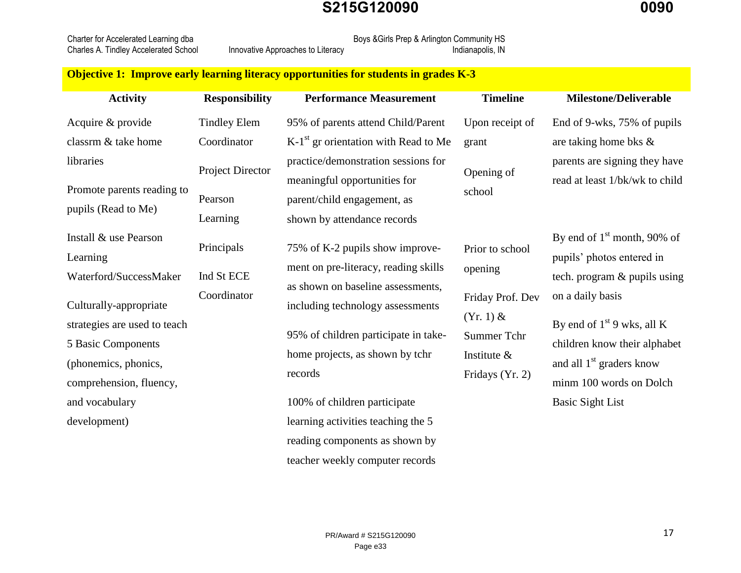Charles A. Tindley Accelerated School

Charter for Accelerated Learning dba Boys &Girls Prep & Arlington Community HS<br>Charles A. Tindley Accelerated School Innovative Approaches to Literacy

#### **Objective 1: Improve early learning literacy opportunities for students in grades K-3**

| <b>Activity</b>                                                                                                                 | <b>Responsibility</b>                | <b>Performance Measurement</b>                                                                                                              | <b>Timeline</b>                                                                     | <b>Milestone/Deliverable</b>                                                                                                                        |
|---------------------------------------------------------------------------------------------------------------------------------|--------------------------------------|---------------------------------------------------------------------------------------------------------------------------------------------|-------------------------------------------------------------------------------------|-----------------------------------------------------------------------------------------------------------------------------------------------------|
| Acquire & provide                                                                                                               | <b>Tindley Elem</b>                  | 95% of parents attend Child/Parent                                                                                                          | Upon receipt of                                                                     | End of 9-wks, 75% of pupils                                                                                                                         |
| classrm & take home                                                                                                             | Coordinator                          | $K-1st$ gr orientation with Read to Me                                                                                                      | grant                                                                               | are taking home bks $\&$                                                                                                                            |
| libraries<br>Promote parents reading to<br>pupils (Read to Me)                                                                  | Project Director<br>Pearson          | practice/demonstration sessions for<br>meaningful opportunities for<br>parent/child engagement, as                                          | Opening of<br>school                                                                | parents are signing they have<br>read at least 1/bk/wk to child                                                                                     |
| Install & use Pearson<br>Learning<br>Waterford/SuccessMaker                                                                     | Learning<br>Principals<br>Ind St ECE | shown by attendance records<br>75% of K-2 pupils show improve-<br>ment on pre-literacy, reading skills<br>as shown on baseline assessments, | Prior to school<br>opening                                                          | By end of $1st$ month, 90% of<br>pupils' photos entered in<br>tech. program & pupils using                                                          |
| Culturally-appropriate<br>strategies are used to teach<br>5 Basic Components<br>(phonemics, phonics,<br>comprehension, fluency, | Coordinator                          | including technology assessments<br>95% of children participate in take-<br>home projects, as shown by tchr<br>records                      | Friday Prof. Dev<br>$(Yr. 1)$ &<br>Summer Tchr<br>Institute $\&$<br>Fridays (Yr. 2) | on a daily basis<br>By end of $1st$ 9 wks, all K<br>children know their alphabet<br>and all 1 <sup>st</sup> graders know<br>minm 100 words on Dolch |
| and vocabulary<br>development)                                                                                                  |                                      | 100% of children participate<br>learning activities teaching the 5<br>reading components as shown by                                        |                                                                                     | <b>Basic Sight List</b>                                                                                                                             |

teacher weekly computer records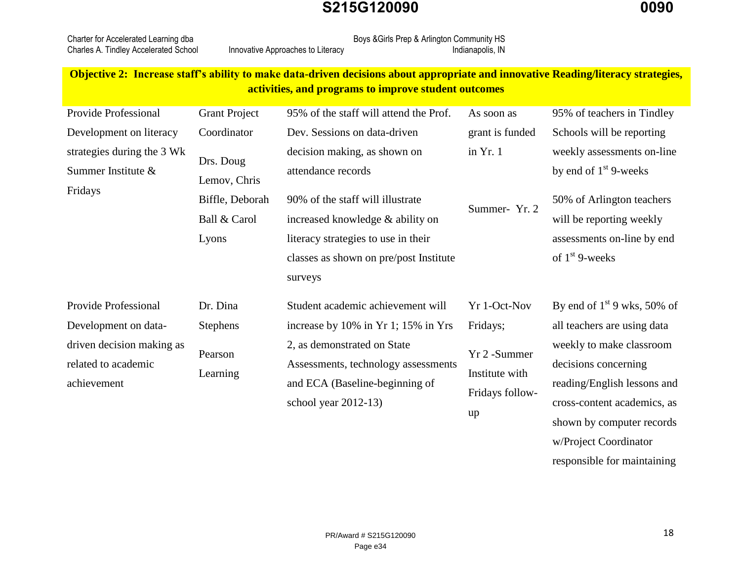| Charter for Accelerated Learning dba  |                                   | Boys & Girls Prep & Arlington Community HS |                  |
|---------------------------------------|-----------------------------------|--------------------------------------------|------------------|
| Charles A. Tindley Accelerated School | Innovative Approaches to Literacy |                                            | Indianapolis, IN |

#### **Objective 2: Increase staff's ability to make data-driven decisions about appropriate and innovative Reading/literacy strategies, activities, and programs to improve student outcomes**

| Provide Professional                                                                                            | <b>Grant Project</b>                                                  | 95% of the staff will attend the Prof.                                                                                                                                                                                 | As soon as                                                                           | 95% of teachers in Tindley                                                                                                                                                                                  |
|-----------------------------------------------------------------------------------------------------------------|-----------------------------------------------------------------------|------------------------------------------------------------------------------------------------------------------------------------------------------------------------------------------------------------------------|--------------------------------------------------------------------------------------|-------------------------------------------------------------------------------------------------------------------------------------------------------------------------------------------------------------|
| Development on literacy                                                                                         | Coordinator                                                           | Dev. Sessions on data-driven                                                                                                                                                                                           | grant is funded                                                                      | Schools will be reporting                                                                                                                                                                                   |
| strategies during the 3 Wk<br>Summer Institute &<br>Fridays                                                     | Drs. Doug<br>Lemov, Chris<br>Biffle, Deborah<br>Ball & Carol<br>Lyons | decision making, as shown on<br>attendance records<br>90% of the staff will illustrate<br>increased knowledge & ability on<br>literacy strategies to use in their<br>classes as shown on pre/post Institute<br>surveys | in $Yr.1$<br>Summer-Yr. 2                                                            | weekly assessments on-line<br>by end of $1st$ 9-weeks<br>50% of Arlington teachers<br>will be reporting weekly<br>assessments on-line by end<br>of $1st$ 9-weeks                                            |
| Provide Professional<br>Development on data-<br>driven decision making as<br>related to academic<br>achievement | Dr. Dina<br>Stephens<br>Pearson<br>Learning                           | Student academic achievement will<br>increase by 10% in Yr 1; 15% in Yrs<br>2, as demonstrated on State<br>Assessments, technology assessments<br>and ECA (Baseline-beginning of<br>school year $2012-13$ )            | Yr 1-Oct-Nov<br>Fridays;<br>Yr 2 - Summer<br>Institute with<br>Fridays follow-<br>up | By end of $1st$ 9 wks, 50% of<br>all teachers are using data<br>weekly to make classroom<br>decisions concerning<br>reading/English lessons and<br>cross-content academics, as<br>shown by computer records |

w/Project Coordinator

responsible for maintaining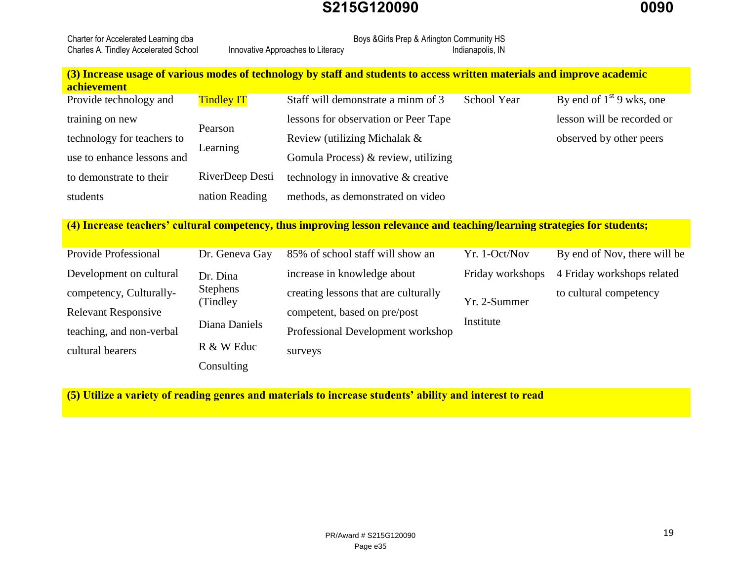| Charter for Accelerated Learning dba  |                                   | Boys & Girls Prep & Arlington Community HS |
|---------------------------------------|-----------------------------------|--------------------------------------------|
| Charles A. Tindley Accelerated School | Innovative Approaches to Literacy | Indianapolis, IN                           |

#### **(3) Increase usage of various modes of technology by staff and students to access written materials and improve academic achievement**

| Provide technology and     | <b>Tindley IT</b> | Staff will demonstrate a minm of 3   | School Year | By end of $1st 9$ wks, one |
|----------------------------|-------------------|--------------------------------------|-------------|----------------------------|
| training on new            |                   | lessons for observation or Peer Tape |             | lesson will be recorded or |
| technology for teachers to | Pearson           | Review (utilizing Michalak $\&$      |             | observed by other peers    |
| use to enhance lessons and | Learning          | Gomula Process) & review, utilizing  |             |                            |
| to demonstrate to their    | RiverDeep Desti   | technology in innovative & creative  |             |                            |
| students                   | nation Reading    | methods, as demonstrated on video    |             |                            |

**(4) Increase teachers' cultural competency, thus improving lesson relevance and teaching/learning strategies for students;**

| Provide Professional       | Dr. Geneva Gay  | 85% of school staff will show an     | Yr. 1-Oct/Nov    | By end of Nov, there will be |
|----------------------------|-----------------|--------------------------------------|------------------|------------------------------|
| Development on cultural    | Dr. Dina        | increase in knowledge about          | Friday workshops | 4 Friday workshops related   |
| competency, Culturally-    | <b>Stephens</b> | creating lessons that are culturally |                  | to cultural competency       |
| <b>Relevant Responsive</b> | (Tindley)       | competent, based on pre/post         | Yr. 2-Summer     |                              |
| teaching, and non-verbal   | Diana Daniels   | Professional Development workshop    | Institute        |                              |
| cultural bearers           | R & W Educ      | surveys                              |                  |                              |
|                            | Consulting      |                                      |                  |                              |

**(5) Utilize a variety of reading genres and materials to increase students' ability and interest to read**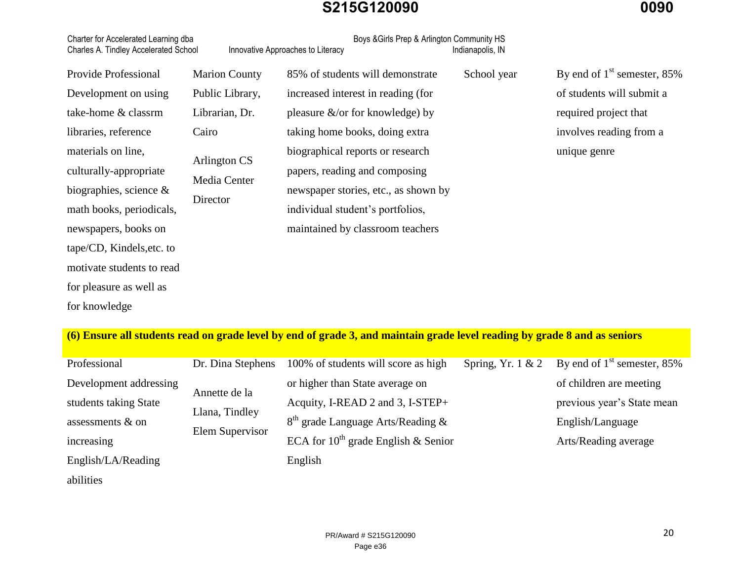| Charter for Accelerated Learning dba<br>Charles A. Tindley Accelerated School |                                          | Boys & Girls Prep & Arlington Community HS<br>Innovative Approaches to Literacy | Indianapolis, IN |                               |
|-------------------------------------------------------------------------------|------------------------------------------|---------------------------------------------------------------------------------|------------------|-------------------------------|
| Provide Professional                                                          | <b>Marion County</b>                     | 85% of students will demonstrate                                                | School year      | By end of $1st$ semester, 85% |
| Development on using                                                          | Public Library,                          | increased interest in reading (for                                              |                  | of students will submit a     |
| take-home & classrm                                                           | Librarian, Dr.                           | pleasure $\&$ /or for knowledge) by                                             |                  | required project that         |
| libraries, reference                                                          | Cairo                                    | taking home books, doing extra                                                  |                  | involves reading from a       |
| materials on line,                                                            | Arlington CS<br>Media Center<br>Director | biographical reports or research                                                |                  | unique genre                  |
| culturally-appropriate                                                        |                                          | papers, reading and composing                                                   |                  |                               |
| biographies, science $\&$                                                     |                                          | newspaper stories, etc., as shown by                                            |                  |                               |
| math books, periodicals,                                                      |                                          | individual student's portfolios,                                                |                  |                               |
| newspapers, books on                                                          |                                          | maintained by classroom teachers                                                |                  |                               |
| tape/CD, Kindels, etc. to                                                     |                                          |                                                                                 |                  |                               |
| motivate students to read                                                     |                                          |                                                                                 |                  |                               |
| for pleasure as well as                                                       |                                          |                                                                                 |                  |                               |
| for knowledge                                                                 |                                          |                                                                                 |                  |                               |
|                                                                               |                                          |                                                                                 |                  |                               |

## **(6) Ensure all students read on grade level by end of grade 3, and maintain grade level reading by grade 8 and as seniors**

| Professional           | Dr. Dina Stephens                                  | 100% of students will score as high      | Spring, Yr. $1 & 2$ | By end of $1st$ semester, 85% |
|------------------------|----------------------------------------------------|------------------------------------------|---------------------|-------------------------------|
| Development addressing | Annette de la<br>Llana, Tindley<br>Elem Supervisor | or higher than State average on          |                     | of children are meeting       |
| students taking State  |                                                    | Acquity, I-READ 2 and 3, I-STEP+         |                     | previous year's State mean    |
| assessments & on       |                                                    | $8th$ grade Language Arts/Reading &      |                     | English/Language              |
| increasing             |                                                    | ECA for $10^{th}$ grade English & Senior |                     | Arts/Reading average          |
| English/LA/Reading     |                                                    | English                                  |                     |                               |
| abilities              |                                                    |                                          |                     |                               |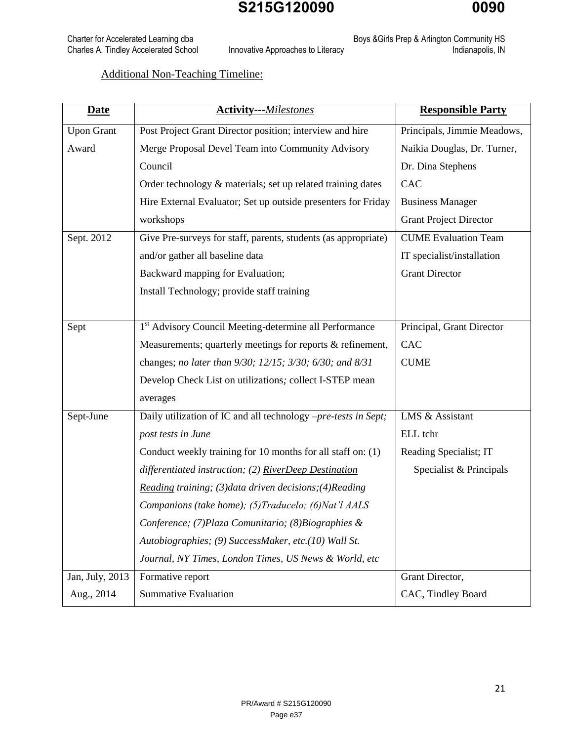Charter for Accelerated Learning dba Boys &Girls Prep & Arlington Community HS Charles A. Tindley Accelerated School Innovative Approaches to Literacy **Interact Accelerates Indianapolis**, IN

Additional Non-Teaching Timeline:

| <b>Date</b>       | <b>Activity---Milestones</b>                                       | <b>Responsible Party</b>      |
|-------------------|--------------------------------------------------------------------|-------------------------------|
| <b>Upon Grant</b> | Post Project Grant Director position; interview and hire           | Principals, Jimmie Meadows,   |
| Award             | Merge Proposal Devel Team into Community Advisory                  | Naikia Douglas, Dr. Turner,   |
|                   | Council                                                            | Dr. Dina Stephens             |
|                   | Order technology & materials; set up related training dates        | CAC                           |
|                   | Hire External Evaluator; Set up outside presenters for Friday      | <b>Business Manager</b>       |
|                   | workshops                                                          | <b>Grant Project Director</b> |
| Sept. 2012        | Give Pre-surveys for staff, parents, students (as appropriate)     | <b>CUME</b> Evaluation Team   |
|                   | and/or gather all baseline data                                    | IT specialist/installation    |
|                   | Backward mapping for Evaluation;                                   | <b>Grant Director</b>         |
|                   | Install Technology; provide staff training                         |                               |
|                   |                                                                    |                               |
| Sept              | 1 <sup>st</sup> Advisory Council Meeting-determine all Performance | Principal, Grant Director     |
|                   | Measurements; quarterly meetings for reports & refinement,         | CAC                           |
|                   | changes; no later than 9/30; 12/15; 3/30; 6/30; and 8/31           | <b>CUME</b>                   |
|                   | Develop Check List on utilizations; collect I-STEP mean            |                               |
|                   | averages                                                           |                               |
| Sept-June         | Daily utilization of IC and all technology -pre-tests in Sept;     | LMS & Assistant               |
|                   | post tests in June                                                 | ELL tchr                      |
|                   | Conduct weekly training for 10 months for all staff on: (1)        | Reading Specialist; IT        |
|                   | differentiated instruction; (2) RiverDeep Destination              | Specialist & Principals       |
|                   | Reading training; (3) data driven decisions; (4) Reading           |                               |
|                   | Companions (take home); (5) Traducelo; (6) Nat'l AALS              |                               |
|                   | Conference; (7) Plaza Comunitario; (8) Biographies &               |                               |
|                   | Autobiographies; (9) SuccessMaker, etc.(10) Wall St.               |                               |
|                   | Journal, NY Times, London Times, US News & World, etc              |                               |
| Jan, July, 2013   | Formative report                                                   | Grant Director,               |
| Aug., 2014        | <b>Summative Evaluation</b>                                        | CAC, Tindley Board            |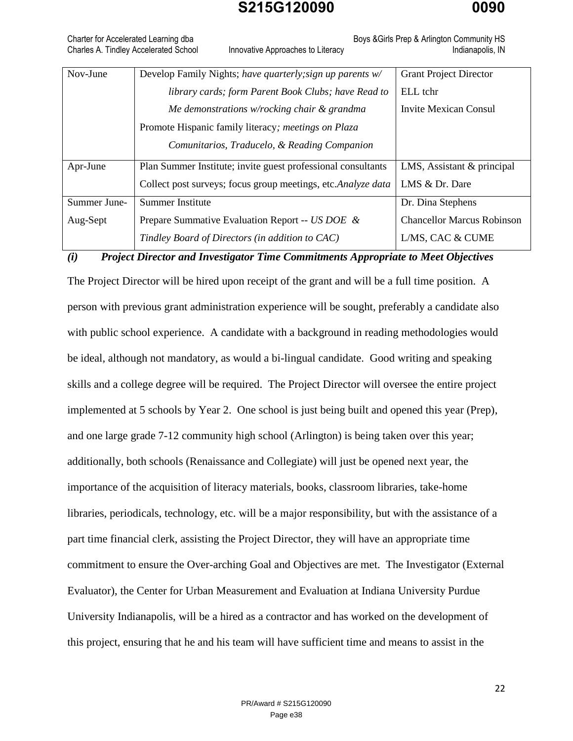Charter for Accelerated Learning dba **Boys &Girls Prep & Arlington Community HS** Boys &Girls Prep & Arlington Community HS Charles A. Tindley Accelerated School Innovative Approaches to Literacy **Indianapolis**, IN

| Nov-June     | Develop Family Nights; have quarterly; sign up parents w/    | <b>Grant Project Director</b>     |
|--------------|--------------------------------------------------------------|-----------------------------------|
|              | library cards; form Parent Book Clubs; have Read to          | ELL tchr                          |
|              | Me demonstrations w/rocking chair $\&$ grandma               | <b>Invite Mexican Consul</b>      |
|              | Promote Hispanic family literacy; meetings on Plaza          |                                   |
|              | Comunitarios, Traducelo, & Reading Companion                 |                                   |
| Apr-June     | Plan Summer Institute; invite guest professional consultants | LMS, Assistant & principal        |
|              | Collect post surveys; focus group meetings, etc.Analyze data | LMS & Dr. Dare                    |
| Summer June- | <b>Summer Institute</b>                                      | Dr. Dina Stephens                 |
| Aug-Sept     | Prepare Summative Evaluation Report -- US DOE &              | <b>Chancellor Marcus Robinson</b> |
|              | Tindley Board of Directors (in addition to CAC)              | L/MS, CAC & CUME                  |

*(i) Project Director and Investigator Time Commitments Appropriate to Meet Objectives* 

The Project Director will be hired upon receipt of the grant and will be a full time position. A person with previous grant administration experience will be sought, preferably a candidate also with public school experience. A candidate with a background in reading methodologies would be ideal, although not mandatory, as would a bi-lingual candidate. Good writing and speaking skills and a college degree will be required. The Project Director will oversee the entire project implemented at 5 schools by Year 2. One school is just being built and opened this year (Prep), and one large grade 7-12 community high school (Arlington) is being taken over this year; additionally, both schools (Renaissance and Collegiate) will just be opened next year, the importance of the acquisition of literacy materials, books, classroom libraries, take-home libraries, periodicals, technology, etc. will be a major responsibility, but with the assistance of a part time financial clerk, assisting the Project Director, they will have an appropriate time commitment to ensure the Over-arching Goal and Objectives are met. The Investigator (External Evaluator), the Center for Urban Measurement and Evaluation at Indiana University Purdue University Indianapolis, will be a hired as a contractor and has worked on the development of this project, ensuring that he and his team will have sufficient time and means to assist in the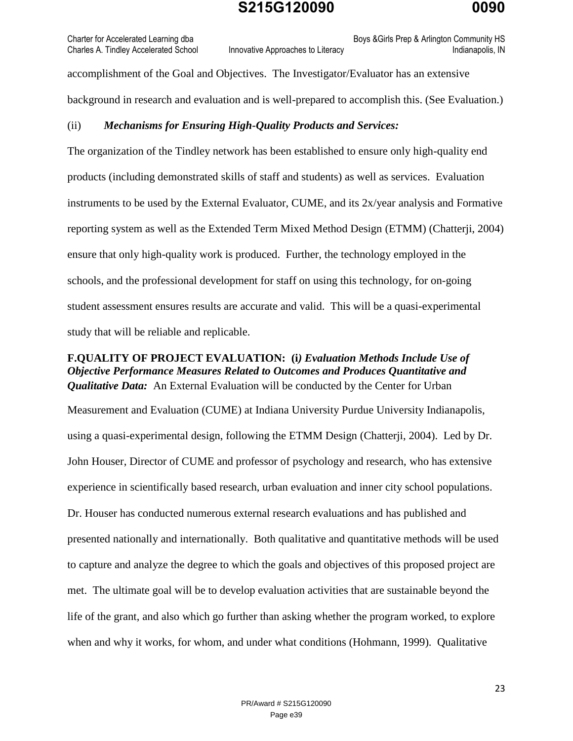Charter for Accelerated Learning dba **Boys &Girls Prep & Arlington Community HS** Boys &Girls Prep & Arlington Community HS

Charles A. Tindley Accelerated School Innovative Approaches to Literacy Innovative Approaches to Literacy Indianapolis, IN

accomplishment of the Goal and Objectives. The Investigator/Evaluator has an extensive background in research and evaluation and is well-prepared to accomplish this. (See Evaluation.)

#### (ii) *Mechanisms for Ensuring High-Quality Products and Services:*

The organization of the Tindley network has been established to ensure only high-quality end products (including demonstrated skills of staff and students) as well as services. Evaluation instruments to be used by the External Evaluator, CUME, and its 2x/year analysis and Formative reporting system as well as the Extended Term Mixed Method Design (ETMM) (Chatterji, 2004) ensure that only high-quality work is produced. Further, the technology employed in the schools, and the professional development for staff on using this technology, for on-going student assessment ensures results are accurate and valid. This will be a quasi-experimental study that will be reliable and replicable.

#### **F.QUALITY OF PROJECT EVALUATION: (i***) Evaluation Methods Include Use of Objective Performance Measures Related to Outcomes and Produces Quantitative and Qualitative Data:* An External Evaluation will be conducted by the Center for Urban

Measurement and Evaluation (CUME) at Indiana University Purdue University Indianapolis, using a quasi-experimental design, following the ETMM Design (Chatterji, 2004). Led by Dr. John Houser, Director of CUME and professor of psychology and research, who has extensive experience in scientifically based research, urban evaluation and inner city school populations. Dr. Houser has conducted numerous external research evaluations and has published and presented nationally and internationally. Both qualitative and quantitative methods will be used to capture and analyze the degree to which the goals and objectives of this proposed project are met. The ultimate goal will be to develop evaluation activities that are sustainable beyond the life of the grant, and also which go further than asking whether the program worked, to explore when and why it works, for whom, and under what conditions (Hohmann, 1999). Qualitative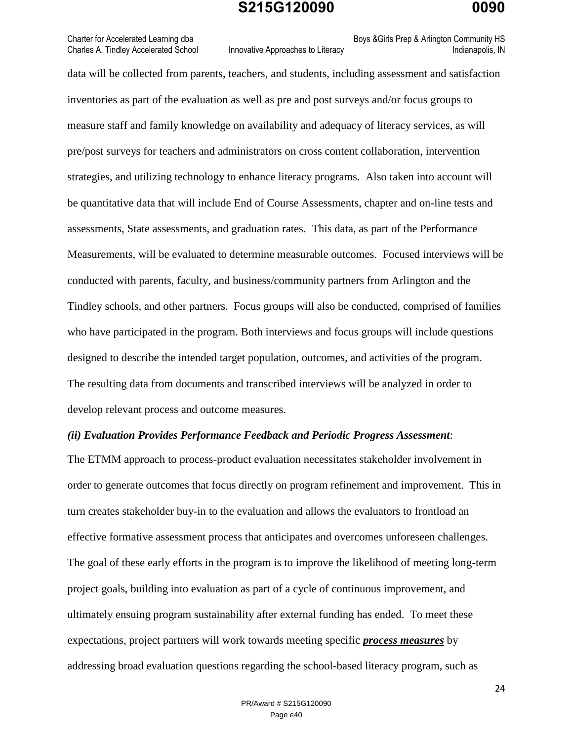Charter for Accelerated Learning dba **Boys &Girls Prep & Arlington Community HS** Boys &Girls Prep & Arlington Community HS

Charles A. Tindley Accelerated School Innovative Approaches to Literacy **Indianapolis**, IN

data will be collected from parents, teachers, and students, including assessment and satisfaction inventories as part of the evaluation as well as pre and post surveys and/or focus groups to measure staff and family knowledge on availability and adequacy of literacy services, as will pre/post surveys for teachers and administrators on cross content collaboration, intervention strategies, and utilizing technology to enhance literacy programs. Also taken into account will be quantitative data that will include End of Course Assessments, chapter and on-line tests and assessments, State assessments, and graduation rates. This data, as part of the Performance Measurements, will be evaluated to determine measurable outcomes. Focused interviews will be conducted with parents, faculty, and business/community partners from Arlington and the Tindley schools, and other partners. Focus groups will also be conducted, comprised of families who have participated in the program. Both interviews and focus groups will include questions designed to describe the intended target population, outcomes, and activities of the program. The resulting data from documents and transcribed interviews will be analyzed in order to develop relevant process and outcome measures.

#### *(ii) Evaluation Provides Performance Feedback and Periodic Progress Assessment*:

The ETMM approach to process-product evaluation necessitates stakeholder involvement in order to generate outcomes that focus directly on program refinement and improvement. This in turn creates stakeholder buy-in to the evaluation and allows the evaluators to frontload an effective formative assessment process that anticipates and overcomes unforeseen challenges. The goal of these early efforts in the program is to improve the likelihood of meeting long-term project goals, building into evaluation as part of a cycle of continuous improvement, and ultimately ensuing program sustainability after external funding has ended. To meet these expectations, project partners will work towards meeting specific *process measures* by addressing broad evaluation questions regarding the school-based literacy program, such as